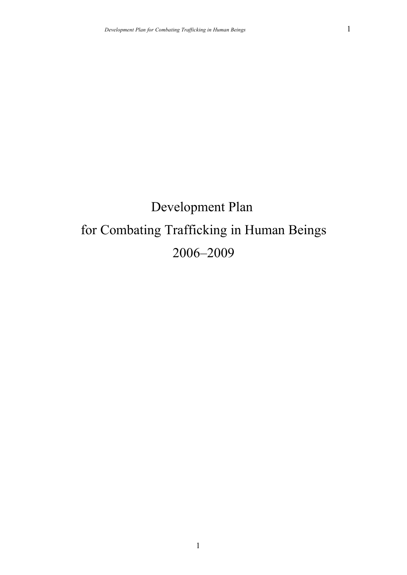# Development Plan for Combating Trafficking in Human Beings 2006–2009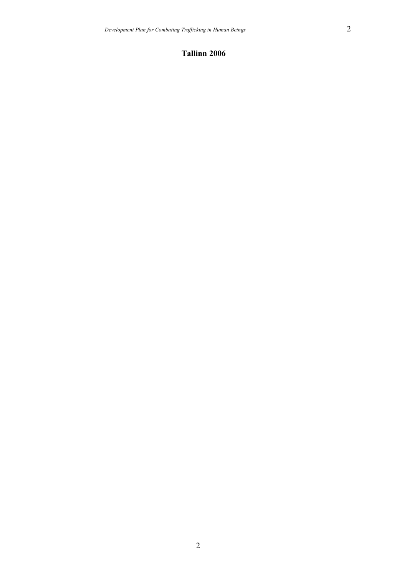### **Tallinn 2006**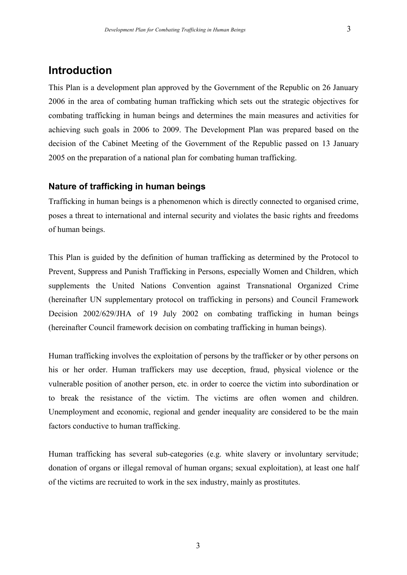# **Introduction**

This Plan is a development plan approved by the Government of the Republic on 26 January 2006 in the area of combating human trafficking which sets out the strategic objectives for combating trafficking in human beings and determines the main measures and activities for achieving such goals in 2006 to 2009. The Development Plan was prepared based on the decision of the Cabinet Meeting of the Government of the Republic passed on 13 January 2005 on the preparation of a national plan for combating human trafficking.

### **Nature of trafficking in human beings**

Trafficking in human beings is a phenomenon which is directly connected to organised crime, poses a threat to international and internal security and violates the basic rights and freedoms of human beings.

This Plan is guided by the definition of human trafficking as determined by the Protocol to Prevent, Suppress and Punish Trafficking in Persons, especially Women and Children, which supplements the United Nations Convention against Transnational Organized Crime (hereinafter UN supplementary protocol on trafficking in persons) and Council Framework Decision 2002/629/JHA of 19 July 2002 on combating trafficking in human beings (hereinafter Council framework decision on combating trafficking in human beings).

Human trafficking involves the exploitation of persons by the trafficker or by other persons on his or her order. Human traffickers may use deception, fraud, physical violence or the vulnerable position of another person, etc. in order to coerce the victim into subordination or to break the resistance of the victim. The victims are often women and children. Unemployment and economic, regional and gender inequality are considered to be the main factors conductive to human trafficking.

Human trafficking has several sub-categories (e.g. white slavery or involuntary servitude; donation of organs or illegal removal of human organs; sexual exploitation), at least one half of the victims are recruited to work in the sex industry, mainly as prostitutes.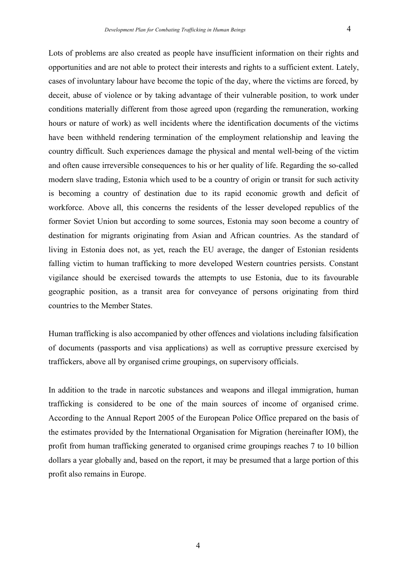Lots of problems are also created as people have insufficient information on their rights and opportunities and are not able to protect their interests and rights to a sufficient extent. Lately, cases of involuntary labour have become the topic of the day, where the victims are forced, by deceit, abuse of violence or by taking advantage of their vulnerable position, to work under conditions materially different from those agreed upon (regarding the remuneration, working hours or nature of work) as well incidents where the identification documents of the victims have been withheld rendering termination of the employment relationship and leaving the country difficult. Such experiences damage the physical and mental well-being of the victim and often cause irreversible consequences to his or her quality of life. Regarding the so-called modern slave trading, Estonia which used to be a country of origin or transit for such activity is becoming a country of destination due to its rapid economic growth and deficit of workforce. Above all, this concerns the residents of the lesser developed republics of the former Soviet Union but according to some sources, Estonia may soon become a country of destination for migrants originating from Asian and African countries. As the standard of living in Estonia does not, as yet, reach the EU average, the danger of Estonian residents falling victim to human trafficking to more developed Western countries persists. Constant vigilance should be exercised towards the attempts to use Estonia, due to its favourable geographic position, as a transit area for conveyance of persons originating from third countries to the Member States.

Human trafficking is also accompanied by other offences and violations including falsification of documents (passports and visa applications) as well as corruptive pressure exercised by traffickers, above all by organised crime groupings, on supervisory officials.

In addition to the trade in narcotic substances and weapons and illegal immigration, human trafficking is considered to be one of the main sources of income of organised crime. According to the Annual Report 2005 of the European Police Office prepared on the basis of the estimates provided by the International Organisation for Migration (hereinafter IOM), the profit from human trafficking generated to organised crime groupings reaches 7 to 10 billion dollars a year globally and, based on the report, it may be presumed that a large portion of this profit also remains in Europe.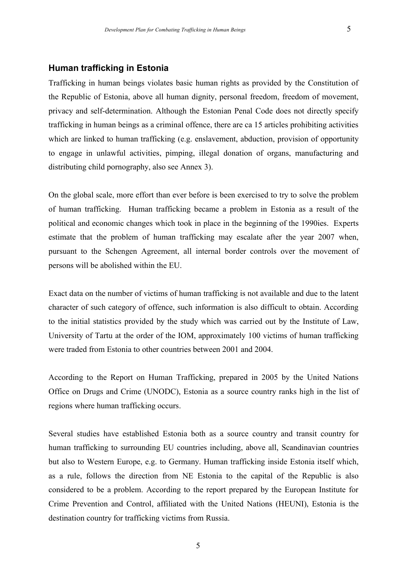#### **Human trafficking in Estonia**

Trafficking in human beings violates basic human rights as provided by the Constitution of the Republic of Estonia, above all human dignity, personal freedom, freedom of movement, privacy and self-determination. Although the Estonian Penal Code does not directly specify trafficking in human beings as a criminal offence, there are ca 15 articles prohibiting activities which are linked to human trafficking (e.g. enslavement, abduction, provision of opportunity to engage in unlawful activities, pimping, illegal donation of organs, manufacturing and distributing child pornography, also see Annex 3).

On the global scale, more effort than ever before is been exercised to try to solve the problem of human trafficking. Human trafficking became a problem in Estonia as a result of the political and economic changes which took in place in the beginning of the 1990ies. Experts estimate that the problem of human trafficking may escalate after the year 2007 when, pursuant to the Schengen Agreement, all internal border controls over the movement of persons will be abolished within the EU.

Exact data on the number of victims of human trafficking is not available and due to the latent character of such category of offence, such information is also difficult to obtain. According to the initial statistics provided by the study which was carried out by the Institute of Law, University of Tartu at the order of the IOM, approximately 100 victims of human trafficking were traded from Estonia to other countries between 2001 and 2004.

According to the Report on Human Trafficking, prepared in 2005 by the United Nations Office on Drugs and Crime (UNODC), Estonia as a source country ranks high in the list of regions where human trafficking occurs.

Several studies have established Estonia both as a source country and transit country for human trafficking to surrounding EU countries including, above all, Scandinavian countries but also to Western Europe, e.g. to Germany. Human trafficking inside Estonia itself which, as a rule, follows the direction from NE Estonia to the capital of the Republic is also considered to be a problem. According to the report prepared by the European Institute for Crime Prevention and Control, affiliated with the United Nations (HEUNI), Estonia is the destination country for trafficking victims from Russia.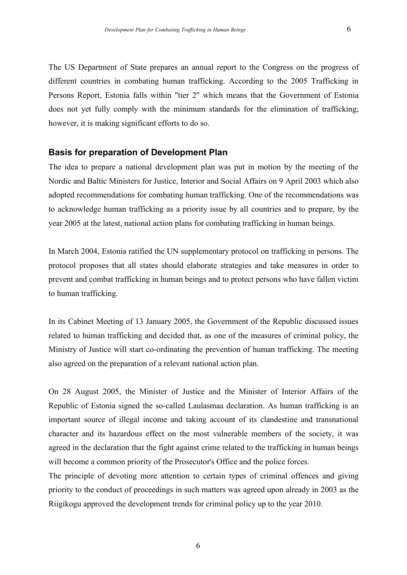The US Department of State prepares an annual report to the Congress on the progress of different countries in combating human trafficking. According to the 2005 Trafficking in Persons Report, Estonia falls within "tier 2" which means that the Government of Estonia does not yet fully comply with the minimum standards for the elimination of trafficking; however, it is making significant efforts to do so.

#### **Basis for preparation of Development Plan**

The idea to prepare a national development plan was put in motion by the meeting of the Nordic and Baltic Ministers for Justice, Interior and Social Affairs on 9 April 2003 which also adopted recommendations for combating human trafficking. One of the recommendations was to acknowledge human trafficking as a priority issue by all countries and to prepare, by the year 2005 at the latest, national action plans for combating trafficking in human beings.

In March 2004, Estonia ratified the UN supplementary protocol on trafficking in persons. The protocol proposes that all states should elaborate strategies and take measures in order to prevent and combat trafficking in human beings and to protect persons who have fallen victim to human trafficking.

In its Cabinet Meeting of 13 January 2005, the Government of the Republic discussed issues related to human trafficking and decided that, as one of the measures of criminal policy, the Ministry of Justice will start co-ordinating the prevention of human trafficking. The meeting also agreed on the preparation of a relevant national action plan.

On 28 August 2005, the Minister of Justice and the Minister of Interior Affairs of the Republic of Estonia signed the so-called Laulasmaa declaration. As human trafficking is an important source of illegal income and taking account of its clandestine and transnational character and its hazardous effect on the most vulnerable members of the society, it was agreed in the declaration that the fight against crime related to the trafficking in human beings will become a common priority of the Prosecutor's Office and the police forces.

The principle of devoting more attention to certain types of criminal offences and giving priority to the conduct of proceedings in such matters was agreed upon already in 2003 as the Riigikogu approved the development trends for criminal policy up to the year 2010.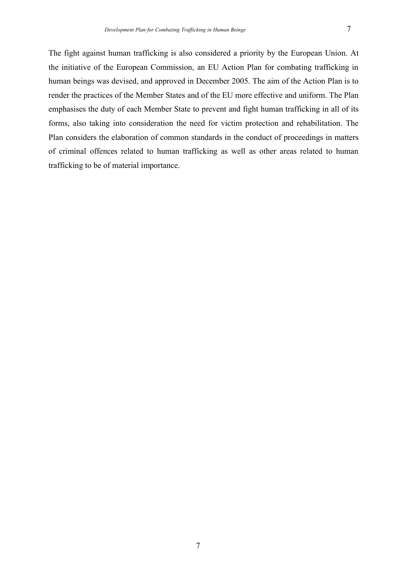The fight against human trafficking is also considered a priority by the European Union. At the initiative of the European Commission, an EU Action Plan for combating trafficking in human beings was devised, and approved in December 2005. The aim of the Action Plan is to render the practices of the Member States and of the EU more effective and uniform. The Plan emphasises the duty of each Member State to prevent and fight human trafficking in all of its forms, also taking into consideration the need for victim protection and rehabilitation. The Plan considers the elaboration of common standards in the conduct of proceedings in matters of criminal offences related to human trafficking as well as other areas related to human trafficking to be of material importance.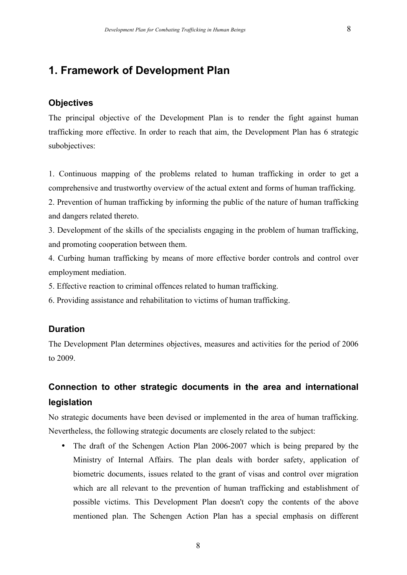# **1. Framework of Development Plan**

#### **Objectives**

The principal objective of the Development Plan is to render the fight against human trafficking more effective. In order to reach that aim, the Development Plan has 6 strategic subobjectives:

1. Continuous mapping of the problems related to human trafficking in order to get a comprehensive and trustworthy overview of the actual extent and forms of human trafficking.

2. Prevention of human trafficking by informing the public of the nature of human trafficking and dangers related thereto.

3. Development of the skills of the specialists engaging in the problem of human trafficking, and promoting cooperation between them.

4. Curbing human trafficking by means of more effective border controls and control over employment mediation.

5. Effective reaction to criminal offences related to human trafficking.

6. Providing assistance and rehabilitation to victims of human trafficking.

#### **Duration**

The Development Plan determines objectives, measures and activities for the period of 2006 to 2009.

# **Connection to other strategic documents in the area and international legislation**

No strategic documents have been devised or implemented in the area of human trafficking. Nevertheless, the following strategic documents are closely related to the subject:

• The draft of the Schengen Action Plan 2006-2007 which is being prepared by the Ministry of Internal Affairs. The plan deals with border safety, application of biometric documents, issues related to the grant of visas and control over migration which are all relevant to the prevention of human trafficking and establishment of possible victims. This Development Plan doesn't copy the contents of the above mentioned plan. The Schengen Action Plan has a special emphasis on different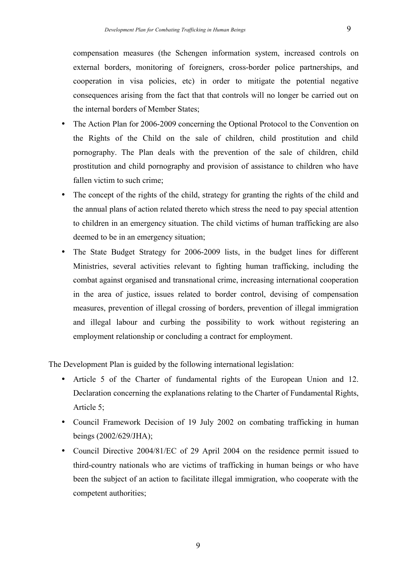compensation measures (the Schengen information system, increased controls on external borders, monitoring of foreigners, cross-border police partnerships, and cooperation in visa policies, etc) in order to mitigate the potential negative consequences arising from the fact that that controls will no longer be carried out on the internal borders of Member States;

- The Action Plan for 2006-2009 concerning the Optional Protocol to the Convention on the Rights of the Child on the sale of children, child prostitution and child pornography. The Plan deals with the prevention of the sale of children, child prostitution and child pornography and provision of assistance to children who have fallen victim to such crime;
- The concept of the rights of the child, strategy for granting the rights of the child and the annual plans of action related thereto which stress the need to pay special attention to children in an emergency situation. The child victims of human trafficking are also deemed to be in an emergency situation;
- The State Budget Strategy for 2006-2009 lists, in the budget lines for different Ministries, several activities relevant to fighting human trafficking, including the combat against organised and transnational crime, increasing international cooperation in the area of justice, issues related to border control, devising of compensation measures, prevention of illegal crossing of borders, prevention of illegal immigration and illegal labour and curbing the possibility to work without registering an employment relationship or concluding a contract for employment.

The Development Plan is guided by the following international legislation:

- Article 5 of the Charter of fundamental rights of the European Union and 12. Declaration concerning the explanations relating to the Charter of Fundamental Rights, Article 5;
- Council Framework Decision of 19 July 2002 on combating trafficking in human beings (2002/629/JHA);
- Council Directive 2004/81/EC of 29 April 2004 on the residence permit issued to third-country nationals who are victims of trafficking in human beings or who have been the subject of an action to facilitate illegal immigration, who cooperate with the competent authorities;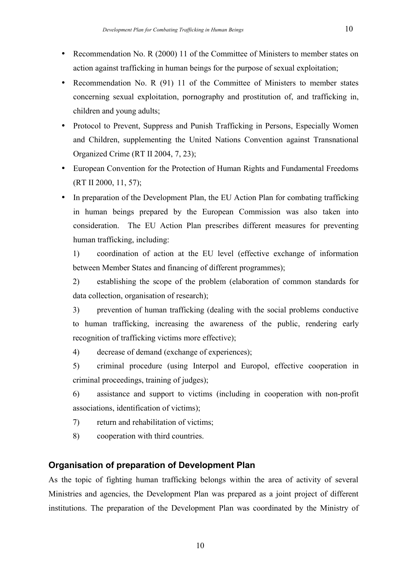- Recommendation No. R (91) 11 of the Committee of Ministers to member states concerning sexual exploitation, pornography and prostitution of, and trafficking in, children and young adults;
- Protocol to Prevent, Suppress and Punish Trafficking in Persons, Especially Women and Children, supplementing the United Nations Convention against Transnational Organized Crime (RT II 2004, 7, 23);
- European Convention for the Protection of Human Rights and Fundamental Freedoms (RT II 2000, 11, 57);
- In preparation of the Development Plan, the EU Action Plan for combating trafficking in human beings prepared by the European Commission was also taken into consideration. The EU Action Plan prescribes different measures for preventing human trafficking, including:

1) coordination of action at the EU level (effective exchange of information between Member States and financing of different programmes);

2) establishing the scope of the problem (elaboration of common standards for data collection, organisation of research);

3) prevention of human trafficking (dealing with the social problems conductive to human trafficking, increasing the awareness of the public, rendering early recognition of trafficking victims more effective);

4) decrease of demand (exchange of experiences);

5) criminal procedure (using Interpol and Europol, effective cooperation in criminal proceedings, training of judges);

6) assistance and support to victims (including in cooperation with non-profit associations, identification of victims);

7) return and rehabilitation of victims;

8) cooperation with third countries.

# **Organisation of preparation of Development Plan**

As the topic of fighting human trafficking belongs within the area of activity of several Ministries and agencies, the Development Plan was prepared as a joint project of different institutions. The preparation of the Development Plan was coordinated by the Ministry of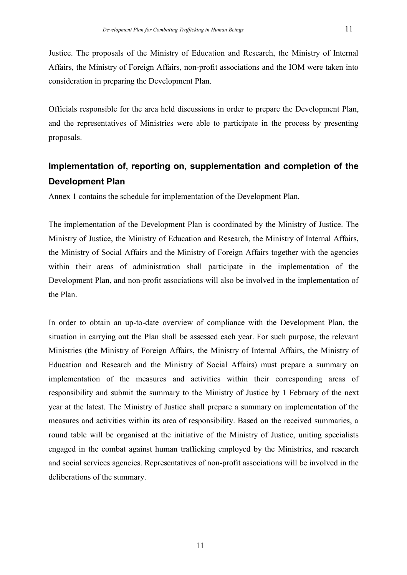Justice. The proposals of the Ministry of Education and Research, the Ministry of Internal Affairs, the Ministry of Foreign Affairs, non-profit associations and the IOM were taken into consideration in preparing the Development Plan.

Officials responsible for the area held discussions in order to prepare the Development Plan, and the representatives of Ministries were able to participate in the process by presenting proposals.

# **Implementation of, reporting on, supplementation and completion of the Development Plan**

Annex 1 contains the schedule for implementation of the Development Plan.

The implementation of the Development Plan is coordinated by the Ministry of Justice. The Ministry of Justice, the Ministry of Education and Research, the Ministry of Internal Affairs, the Ministry of Social Affairs and the Ministry of Foreign Affairs together with the agencies within their areas of administration shall participate in the implementation of the Development Plan, and non-profit associations will also be involved in the implementation of the Plan.

In order to obtain an up-to-date overview of compliance with the Development Plan, the situation in carrying out the Plan shall be assessed each year. For such purpose, the relevant Ministries (the Ministry of Foreign Affairs, the Ministry of Internal Affairs, the Ministry of Education and Research and the Ministry of Social Affairs) must prepare a summary on implementation of the measures and activities within their corresponding areas of responsibility and submit the summary to the Ministry of Justice by 1 February of the next year at the latest. The Ministry of Justice shall prepare a summary on implementation of the measures and activities within its area of responsibility. Based on the received summaries, a round table will be organised at the initiative of the Ministry of Justice, uniting specialists engaged in the combat against human trafficking employed by the Ministries, and research and social services agencies. Representatives of non-profit associations will be involved in the deliberations of the summary.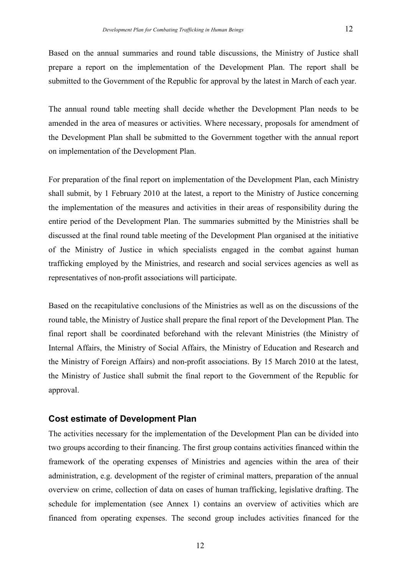Based on the annual summaries and round table discussions, the Ministry of Justice shall

prepare a report on the implementation of the Development Plan. The report shall be submitted to the Government of the Republic for approval by the latest in March of each year.

The annual round table meeting shall decide whether the Development Plan needs to be amended in the area of measures or activities. Where necessary, proposals for amendment of the Development Plan shall be submitted to the Government together with the annual report on implementation of the Development Plan.

For preparation of the final report on implementation of the Development Plan, each Ministry shall submit, by 1 February 2010 at the latest, a report to the Ministry of Justice concerning the implementation of the measures and activities in their areas of responsibility during the entire period of the Development Plan. The summaries submitted by the Ministries shall be discussed at the final round table meeting of the Development Plan organised at the initiative of the Ministry of Justice in which specialists engaged in the combat against human trafficking employed by the Ministries, and research and social services agencies as well as representatives of non-profit associations will participate.

Based on the recapitulative conclusions of the Ministries as well as on the discussions of the round table, the Ministry of Justice shall prepare the final report of the Development Plan. The final report shall be coordinated beforehand with the relevant Ministries (the Ministry of Internal Affairs, the Ministry of Social Affairs, the Ministry of Education and Research and the Ministry of Foreign Affairs) and non-profit associations. By 15 March 2010 at the latest, the Ministry of Justice shall submit the final report to the Government of the Republic for approval.

#### **Cost estimate of Development Plan**

The activities necessary for the implementation of the Development Plan can be divided into two groups according to their financing. The first group contains activities financed within the framework of the operating expenses of Ministries and agencies within the area of their administration, e.g. development of the register of criminal matters, preparation of the annual overview on crime, collection of data on cases of human trafficking, legislative drafting. The schedule for implementation (see Annex 1) contains an overview of activities which are financed from operating expenses. The second group includes activities financed for the

12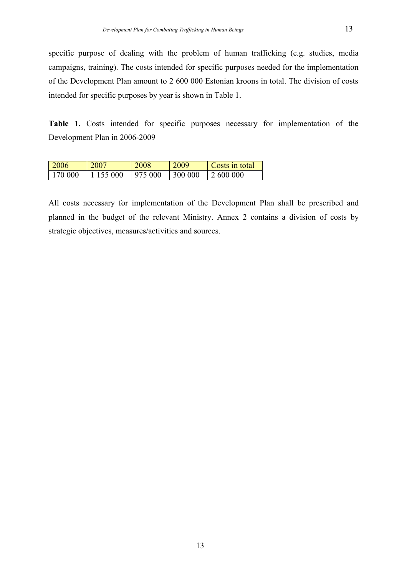specific purpose of dealing with the problem of human trafficking (e.g. studies, media campaigns, training). The costs intended for specific purposes needed for the implementation of the Development Plan amount to 2 600 000 Estonian kroons in total. The division of costs intended for specific purposes by year is shown in Table 1.

**Table 1.** Costs intended for specific purposes necessary for implementation of the Development Plan in 2006-2009

| 2006    | 2007      | 2008    | 2009    | Costs in total |
|---------|-----------|---------|---------|----------------|
| 170 000 | 1 155 000 | 975 000 | 300 000 | 2 600 000      |

All costs necessary for implementation of the Development Plan shall be prescribed and planned in the budget of the relevant Ministry. Annex 2 contains a division of costs by strategic objectives, measures/activities and sources.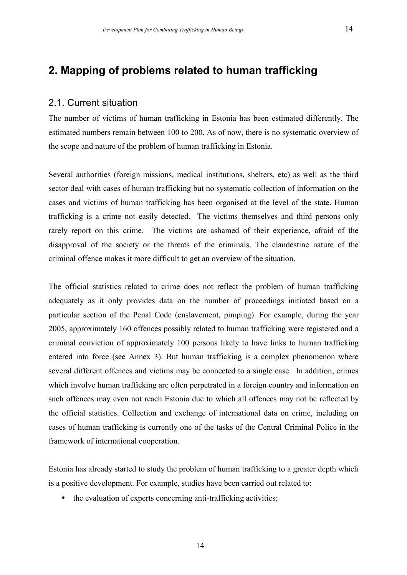### 2.1. Current situation

The number of victims of human trafficking in Estonia has been estimated differently. The estimated numbers remain between 100 to 200. As of now, there is no systematic overview of the scope and nature of the problem of human trafficking in Estonia.

Several authorities (foreign missions, medical institutions, shelters, etc) as well as the third sector deal with cases of human trafficking but no systematic collection of information on the cases and victims of human trafficking has been organised at the level of the state. Human trafficking is a crime not easily detected. The victims themselves and third persons only rarely report on this crime. The victims are ashamed of their experience, afraid of the disapproval of the society or the threats of the criminals. The clandestine nature of the criminal offence makes it more difficult to get an overview of the situation.

The official statistics related to crime does not reflect the problem of human trafficking adequately as it only provides data on the number of proceedings initiated based on a particular section of the Penal Code (enslavement, pimping). For example, during the year 2005, approximately 160 offences possibly related to human trafficking were registered and a criminal conviction of approximately 100 persons likely to have links to human trafficking entered into force (see Annex 3). But human trafficking is a complex phenomenon where several different offences and victims may be connected to a single case. In addition, crimes which involve human trafficking are often perpetrated in a foreign country and information on such offences may even not reach Estonia due to which all offences may not be reflected by the official statistics. Collection and exchange of international data on crime, including on cases of human trafficking is currently one of the tasks of the Central Criminal Police in the framework of international cooperation.

Estonia has already started to study the problem of human trafficking to a greater depth which is a positive development. For example, studies have been carried out related to:

• the evaluation of experts concerning anti-trafficking activities;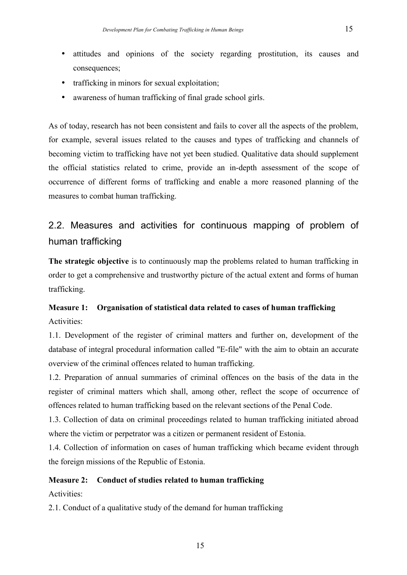- attitudes and opinions of the society regarding prostitution, its causes and consequences;
- trafficking in minors for sexual exploitation;
- awareness of human trafficking of final grade school girls.

As of today, research has not been consistent and fails to cover all the aspects of the problem, for example, several issues related to the causes and types of trafficking and channels of becoming victim to trafficking have not yet been studied. Qualitative data should supplement the official statistics related to crime, provide an in-depth assessment of the scope of occurrence of different forms of trafficking and enable a more reasoned planning of the measures to combat human trafficking.

# 2.2. Measures and activities for continuous mapping of problem of human trafficking

**The strategic objective** is to continuously map the problems related to human trafficking in order to get a comprehensive and trustworthy picture of the actual extent and forms of human trafficking.

# **Measure 1: Organisation of statistical data related to cases of human trafficking** Activities:

1.1. Development of the register of criminal matters and further on, development of the database of integral procedural information called "E-file" with the aim to obtain an accurate overview of the criminal offences related to human trafficking.

1.2. Preparation of annual summaries of criminal offences on the basis of the data in the register of criminal matters which shall, among other, reflect the scope of occurrence of offences related to human trafficking based on the relevant sections of the Penal Code.

1.3. Collection of data on criminal proceedings related to human trafficking initiated abroad where the victim or perpetrator was a citizen or permanent resident of Estonia.

1.4. Collection of information on cases of human trafficking which became evident through the foreign missions of the Republic of Estonia.

### **Measure 2: Conduct of studies related to human trafficking**

Activities:

2.1. Conduct of a qualitative study of the demand for human trafficking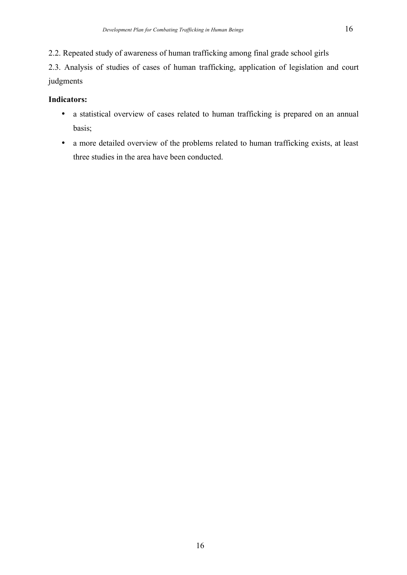2.2. Repeated study of awareness of human trafficking among final grade school girls

2.3. Analysis of studies of cases of human trafficking, application of legislation and court judgments

### **Indicators:**

- a statistical overview of cases related to human trafficking is prepared on an annual basis;
- a more detailed overview of the problems related to human trafficking exists, at least three studies in the area have been conducted.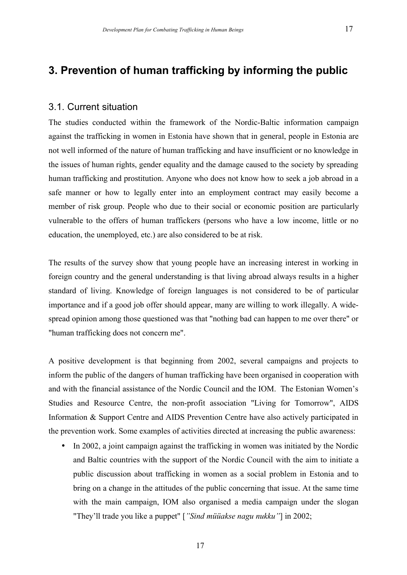# **3. Prevention of human trafficking by informing the public**

#### 3.1. Current situation

The studies conducted within the framework of the Nordic-Baltic information campaign against the trafficking in women in Estonia have shown that in general, people in Estonia are not well informed of the nature of human trafficking and have insufficient or no knowledge in the issues of human rights, gender equality and the damage caused to the society by spreading human trafficking and prostitution. Anyone who does not know how to seek a job abroad in a safe manner or how to legally enter into an employment contract may easily become a member of risk group. People who due to their social or economic position are particularly vulnerable to the offers of human traffickers (persons who have a low income, little or no education, the unemployed, etc.) are also considered to be at risk.

The results of the survey show that young people have an increasing interest in working in foreign country and the general understanding is that living abroad always results in a higher standard of living. Knowledge of foreign languages is not considered to be of particular importance and if a good job offer should appear, many are willing to work illegally. A widespread opinion among those questioned was that "nothing bad can happen to me over there" or "human trafficking does not concern me".

A positive development is that beginning from 2002, several campaigns and projects to inform the public of the dangers of human trafficking have been organised in cooperation with and with the financial assistance of the Nordic Council and the IOM. The Estonian Women's Studies and Resource Centre, the non-profit association "Living for Tomorrow", AIDS Information & Support Centre and AIDS Prevention Centre have also actively participated in the prevention work. Some examples of activities directed at increasing the public awareness:

• In 2002, a joint campaign against the trafficking in women was initiated by the Nordic and Baltic countries with the support of the Nordic Council with the aim to initiate a public discussion about trafficking in women as a social problem in Estonia and to bring on a change in the attitudes of the public concerning that issue. At the same time with the main campaign, IOM also organised a media campaign under the slogan "They'll trade you like a puppet" [*"Sind müüakse nagu nukku"*] in 2002;

17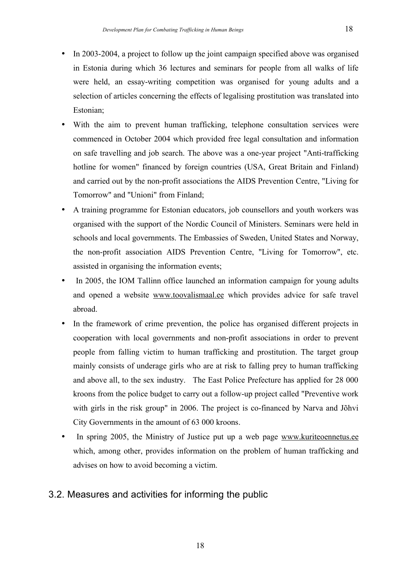- In 2003-2004, a project to follow up the joint campaign specified above was organised in Estonia during which 36 lectures and seminars for people from all walks of life were held, an essay-writing competition was organised for young adults and a selection of articles concerning the effects of legalising prostitution was translated into Estonian;
- With the aim to prevent human trafficking, telephone consultation services were commenced in October 2004 which provided free legal consultation and information on safe travelling and job search. The above was a one-year project "Anti-trafficking hotline for women" financed by foreign countries (USA, Great Britain and Finland) and carried out by the non-profit associations the AIDS Prevention Centre, "Living for Tomorrow" and "Unioni" from Finland;
- A training programme for Estonian educators, job counsellors and youth workers was organised with the support of the Nordic Council of Ministers. Seminars were held in schools and local governments. The Embassies of Sweden, United States and Norway, the non-profit association AIDS Prevention Centre, "Living for Tomorrow", etc. assisted in organising the information events;
- In 2005, the IOM Tallinn office launched an information campaign for young adults and opened a website www.toovalismaal.ee which provides advice for safe travel abroad.
- In the framework of crime prevention, the police has organised different projects in cooperation with local governments and non-profit associations in order to prevent people from falling victim to human trafficking and prostitution. The target group mainly consists of underage girls who are at risk to falling prey to human trafficking and above all, to the sex industry. The East Police Prefecture has applied for 28 000 kroons from the police budget to carry out a follow-up project called "Preventive work with girls in the risk group" in 2006. The project is co-financed by Narva and Jõhvi City Governments in the amount of 63 000 kroons.
- In spring 2005, the Ministry of Justice put up a web page www.kuriteoennetus.ee which, among other, provides information on the problem of human trafficking and advises on how to avoid becoming a victim.

## 3.2. Measures and activities for informing the public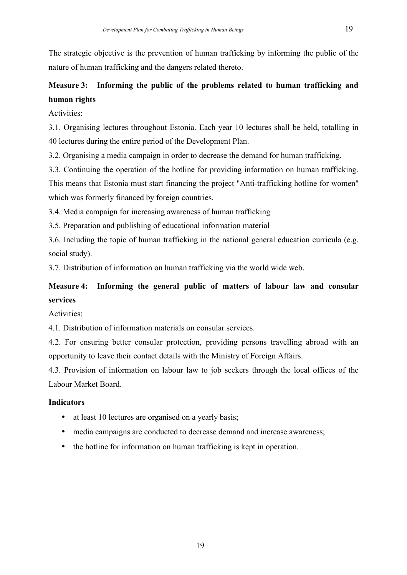The strategic objective is the prevention of human trafficking by informing the public of the nature of human trafficking and the dangers related thereto.

# **Measure 3: Informing the public of the problems related to human trafficking and human rights**

Activities:

3.1. Organising lectures throughout Estonia. Each year 10 lectures shall be held, totalling in 40 lectures during the entire period of the Development Plan.

3.2. Organising a media campaign in order to decrease the demand for human trafficking.

3.3. Continuing the operation of the hotline for providing information on human trafficking. This means that Estonia must start financing the project "Anti-trafficking hotline for women" which was formerly financed by foreign countries.

3.4. Media campaign for increasing awareness of human trafficking

3.5. Preparation and publishing of educational information material

3.6. Including the topic of human trafficking in the national general education curricula (e.g. social study).

3.7. Distribution of information on human trafficking via the world wide web.

# **Measure 4: Informing the general public of matters of labour law and consular services**

Activities:

4.1. Distribution of information materials on consular services.

4.2. For ensuring better consular protection, providing persons travelling abroad with an opportunity to leave their contact details with the Ministry of Foreign Affairs.

4.3. Provision of information on labour law to job seekers through the local offices of the Labour Market Board.

### **Indicators**

- at least 10 lectures are organised on a yearly basis;
- media campaigns are conducted to decrease demand and increase awareness;
- the hotline for information on human trafficking is kept in operation.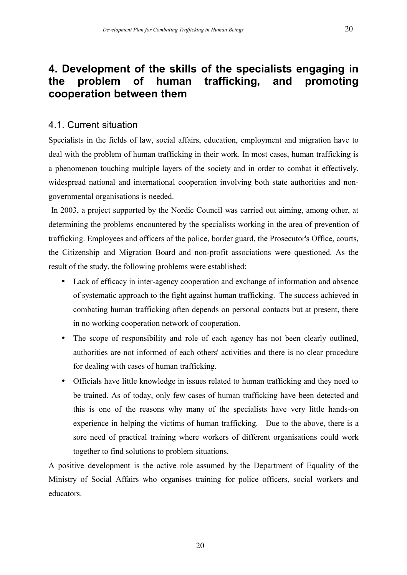# **4. Development of the skills of the specialists engaging in the problem of human trafficking, and promoting cooperation between them**

### 4.1. Current situation

Specialists in the fields of law, social affairs, education, employment and migration have to deal with the problem of human trafficking in their work. In most cases, human trafficking is a phenomenon touching multiple layers of the society and in order to combat it effectively, widespread national and international cooperation involving both state authorities and nongovernmental organisations is needed.

In 2003, a project supported by the Nordic Council was carried out aiming, among other, at determining the problems encountered by the specialists working in the area of prevention of trafficking. Employees and officers of the police, border guard, the Prosecutor's Office, courts, the Citizenship and Migration Board and non-profit associations were questioned. As the result of the study, the following problems were established:

- Lack of efficacy in inter-agency cooperation and exchange of information and absence of systematic approach to the fight against human trafficking. The success achieved in combating human trafficking often depends on personal contacts but at present, there in no working cooperation network of cooperation.
- The scope of responsibility and role of each agency has not been clearly outlined, authorities are not informed of each others' activities and there is no clear procedure for dealing with cases of human trafficking.
- Officials have little knowledge in issues related to human trafficking and they need to be trained. As of today, only few cases of human trafficking have been detected and this is one of the reasons why many of the specialists have very little hands-on experience in helping the victims of human trafficking. Due to the above, there is a sore need of practical training where workers of different organisations could work together to find solutions to problem situations.

A positive development is the active role assumed by the Department of Equality of the Ministry of Social Affairs who organises training for police officers, social workers and educators.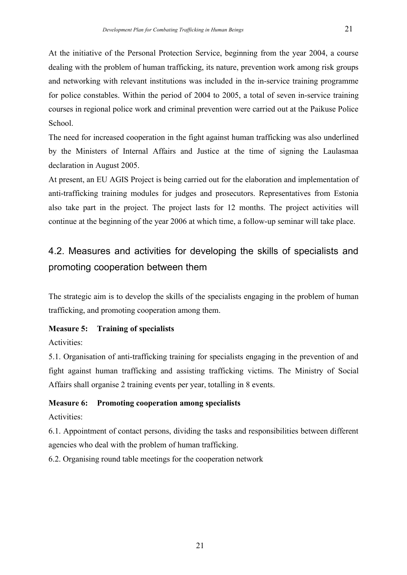At the initiative of the Personal Protection Service, beginning from the year 2004, a course dealing with the problem of human trafficking, its nature, prevention work among risk groups and networking with relevant institutions was included in the in-service training programme for police constables. Within the period of 2004 to 2005, a total of seven in-service training courses in regional police work and criminal prevention were carried out at the Paikuse Police School.

The need for increased cooperation in the fight against human trafficking was also underlined by the Ministers of Internal Affairs and Justice at the time of signing the Laulasmaa declaration in August 2005.

At present, an EU AGIS Project is being carried out for the elaboration and implementation of anti-trafficking training modules for judges and prosecutors. Representatives from Estonia also take part in the project. The project lasts for 12 months. The project activities will continue at the beginning of the year 2006 at which time, a follow-up seminar will take place.

# 4.2. Measures and activities for developing the skills of specialists and promoting cooperation between them

The strategic aim is to develop the skills of the specialists engaging in the problem of human trafficking, and promoting cooperation among them.

### **Measure 5: Training of specialists**

Activities:

5.1. Organisation of anti-trafficking training for specialists engaging in the prevention of and fight against human trafficking and assisting trafficking victims. The Ministry of Social Affairs shall organise 2 training events per year, totalling in 8 events.

# **Measure 6: Promoting cooperation among specialists**

### Activities:

6.1. Appointment of contact persons, dividing the tasks and responsibilities between different agencies who deal with the problem of human trafficking.

6.2. Organising round table meetings for the cooperation network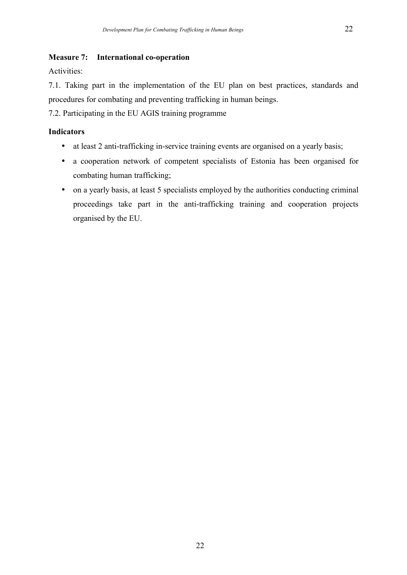#### **Measure 7: International co-operation**

Activities:

7.1. Taking part in the implementation of the EU plan on best practices, standards and procedures for combating and preventing trafficking in human beings.

7.2. Participating in the EU AGIS training programme

#### **Indicators**

- at least 2 anti-trafficking in-service training events are organised on a yearly basis;
- a cooperation network of competent specialists of Estonia has been organised for combating human trafficking;
- on a yearly basis, at least 5 specialists employed by the authorities conducting criminal proceedings take part in the anti-trafficking training and cooperation projects organised by the EU.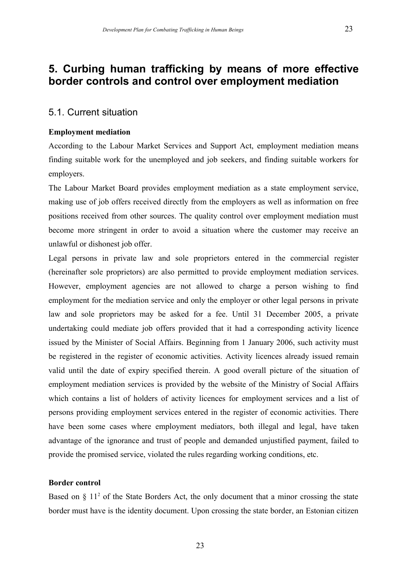# **5. Curbing human trafficking by means of more effective border controls and control over employment mediation**

### 5.1. Current situation

#### **Employment mediation**

According to the Labour Market Services and Support Act, employment mediation means finding suitable work for the unemployed and job seekers, and finding suitable workers for employers.

The Labour Market Board provides employment mediation as a state employment service, making use of job offers received directly from the employers as well as information on free positions received from other sources. The quality control over employment mediation must become more stringent in order to avoid a situation where the customer may receive an unlawful or dishonest job offer.

Legal persons in private law and sole proprietors entered in the commercial register (hereinafter sole proprietors) are also permitted to provide employment mediation services. However, employment agencies are not allowed to charge a person wishing to find employment for the mediation service and only the employer or other legal persons in private law and sole proprietors may be asked for a fee. Until 31 December 2005, a private undertaking could mediate job offers provided that it had a corresponding activity licence issued by the Minister of Social Affairs. Beginning from 1 January 2006, such activity must be registered in the register of economic activities. Activity licences already issued remain valid until the date of expiry specified therein. A good overall picture of the situation of employment mediation services is provided by the website of the Ministry of Social Affairs which contains a list of holders of activity licences for employment services and a list of persons providing employment services entered in the register of economic activities. There have been some cases where employment mediators, both illegal and legal, have taken advantage of the ignorance and trust of people and demanded unjustified payment, failed to provide the promised service, violated the rules regarding working conditions, etc.

#### **Border control**

Based on  $\S$  11<sup>2</sup> of the State Borders Act, the only document that a minor crossing the state border must have is the identity document. Upon crossing the state border, an Estonian citizen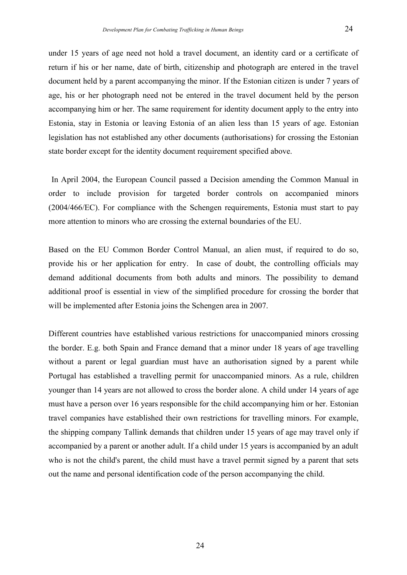under 15 years of age need not hold a travel document, an identity card or a certificate of return if his or her name, date of birth, citizenship and photograph are entered in the travel document held by a parent accompanying the minor. If the Estonian citizen is under 7 years of age, his or her photograph need not be entered in the travel document held by the person accompanying him or her. The same requirement for identity document apply to the entry into Estonia, stay in Estonia or leaving Estonia of an alien less than 15 years of age. Estonian legislation has not established any other documents (authorisations) for crossing the Estonian state border except for the identity document requirement specified above.

In April 2004, the European Council passed a Decision amending the Common Manual in order to include provision for targeted border controls on accompanied minors (2004/466/EC). For compliance with the Schengen requirements, Estonia must start to pay more attention to minors who are crossing the external boundaries of the EU.

Based on the EU Common Border Control Manual, an alien must, if required to do so, provide his or her application for entry. In case of doubt, the controlling officials may demand additional documents from both adults and minors. The possibility to demand additional proof is essential in view of the simplified procedure for crossing the border that will be implemented after Estonia joins the Schengen area in 2007.

Different countries have established various restrictions for unaccompanied minors crossing the border. E.g. both Spain and France demand that a minor under 18 years of age travelling without a parent or legal guardian must have an authorisation signed by a parent while Portugal has established a travelling permit for unaccompanied minors. As a rule, children younger than 14 years are not allowed to cross the border alone. A child under 14 years of age must have a person over 16 years responsible for the child accompanying him or her. Estonian travel companies have established their own restrictions for travelling minors. For example, the shipping company Tallink demands that children under 15 years of age may travel only if accompanied by a parent or another adult. If a child under 15 years is accompanied by an adult who is not the child's parent, the child must have a travel permit signed by a parent that sets out the name and personal identification code of the person accompanying the child.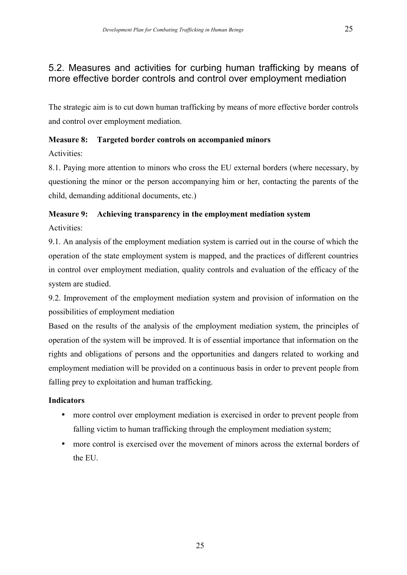### 5.2. Measures and activities for curbing human trafficking by means of more effective border controls and control over employment mediation

The strategic aim is to cut down human trafficking by means of more effective border controls and control over employment mediation.

### **Measure 8: Targeted border controls on accompanied minors**

Activities:

8.1. Paying more attention to minors who cross the EU external borders (where necessary, by questioning the minor or the person accompanying him or her, contacting the parents of the child, demanding additional documents, etc.)

# **Measure 9: Achieving transparency in the employment mediation system**

Activities:

9.1. An analysis of the employment mediation system is carried out in the course of which the operation of the state employment system is mapped, and the practices of different countries in control over employment mediation, quality controls and evaluation of the efficacy of the system are studied.

9.2. Improvement of the employment mediation system and provision of information on the possibilities of employment mediation

Based on the results of the analysis of the employment mediation system, the principles of operation of the system will be improved. It is of essential importance that information on the rights and obligations of persons and the opportunities and dangers related to working and employment mediation will be provided on a continuous basis in order to prevent people from falling prey to exploitation and human trafficking.

### **Indicators**

- more control over employment mediation is exercised in order to prevent people from falling victim to human trafficking through the employment mediation system;
- more control is exercised over the movement of minors across the external borders of the EU.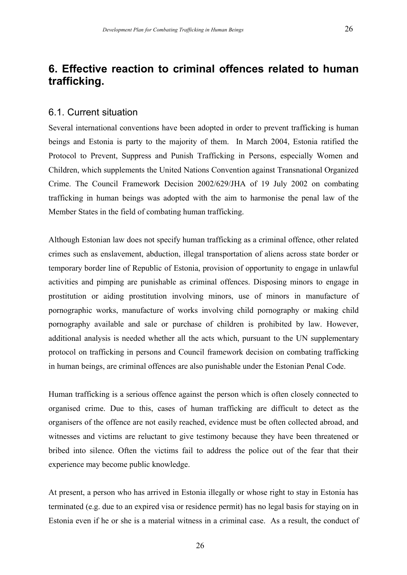# **6. Effective reaction to criminal offences related to human trafficking.**

#### 6.1. Current situation

Several international conventions have been adopted in order to prevent trafficking is human beings and Estonia is party to the majority of them. In March 2004, Estonia ratified the Protocol to Prevent, Suppress and Punish Trafficking in Persons, especially Women and Children, which supplements the United Nations Convention against Transnational Organized Crime. The Council Framework Decision 2002/629/JHA of 19 July 2002 on combating trafficking in human beings was adopted with the aim to harmonise the penal law of the Member States in the field of combating human trafficking.

Although Estonian law does not specify human trafficking as a criminal offence, other related crimes such as enslavement, abduction, illegal transportation of aliens across state border or temporary border line of Republic of Estonia, provision of opportunity to engage in unlawful activities and pimping are punishable as criminal offences. Disposing minors to engage in prostitution or aiding prostitution involving minors, use of minors in manufacture of pornographic works, manufacture of works involving child pornography or making child pornography available and sale or purchase of children is prohibited by law. However, additional analysis is needed whether all the acts which, pursuant to the UN supplementary protocol on trafficking in persons and Council framework decision on combating trafficking in human beings, are criminal offences are also punishable under the Estonian Penal Code.

Human trafficking is a serious offence against the person which is often closely connected to organised crime. Due to this, cases of human trafficking are difficult to detect as the organisers of the offence are not easily reached, evidence must be often collected abroad, and witnesses and victims are reluctant to give testimony because they have been threatened or bribed into silence. Often the victims fail to address the police out of the fear that their experience may become public knowledge.

At present, a person who has arrived in Estonia illegally or whose right to stay in Estonia has terminated (e.g. due to an expired visa or residence permit) has no legal basis for staying on in Estonia even if he or she is a material witness in a criminal case. As a result, the conduct of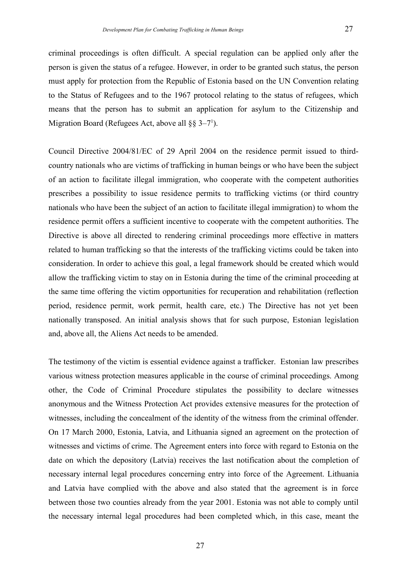criminal proceedings is often difficult. A special regulation can be applied only after the person is given the status of a refugee. However, in order to be granted such status, the person must apply for protection from the Republic of Estonia based on the UN Convention relating to the Status of Refugees and to the 1967 protocol relating to the status of refugees, which means that the person has to submit an application for asylum to the Citizenship and Migration Board (Refugees Act, above all  $\S\S 3-7^1$ ).

Council Directive 2004/81/EC of 29 April 2004 on the residence permit issued to thirdcountry nationals who are victims of trafficking in human beings or who have been the subject of an action to facilitate illegal immigration, who cooperate with the competent authorities prescribes a possibility to issue residence permits to trafficking victims (or third country nationals who have been the subject of an action to facilitate illegal immigration) to whom the residence permit offers a sufficient incentive to cooperate with the competent authorities. The Directive is above all directed to rendering criminal proceedings more effective in matters related to human trafficking so that the interests of the trafficking victims could be taken into consideration. In order to achieve this goal, a legal framework should be created which would allow the trafficking victim to stay on in Estonia during the time of the criminal proceeding at the same time offering the victim opportunities for recuperation and rehabilitation (reflection period, residence permit, work permit, health care, etc.) The Directive has not yet been nationally transposed. An initial analysis shows that for such purpose, Estonian legislation and, above all, the Aliens Act needs to be amended.

The testimony of the victim is essential evidence against a trafficker. Estonian law prescribes various witness protection measures applicable in the course of criminal proceedings. Among other, the Code of Criminal Procedure stipulates the possibility to declare witnesses anonymous and the Witness Protection Act provides extensive measures for the protection of witnesses, including the concealment of the identity of the witness from the criminal offender. On 17 March 2000, Estonia, Latvia, and Lithuania signed an agreement on the protection of witnesses and victims of crime. The Agreement enters into force with regard to Estonia on the date on which the depository (Latvia) receives the last notification about the completion of necessary internal legal procedures concerning entry into force of the Agreement. Lithuania and Latvia have complied with the above and also stated that the agreement is in force between those two counties already from the year 2001. Estonia was not able to comply until the necessary internal legal procedures had been completed which, in this case, meant the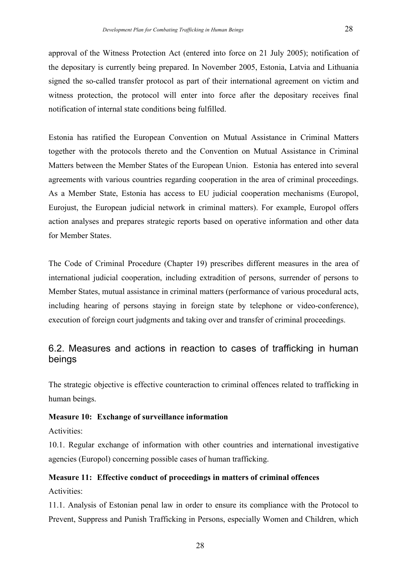approval of the Witness Protection Act (entered into force on 21 July 2005); notification of the depositary is currently being prepared. In November 2005, Estonia, Latvia and Lithuania signed the so-called transfer protocol as part of their international agreement on victim and witness protection, the protocol will enter into force after the depositary receives final notification of internal state conditions being fulfilled.

Estonia has ratified the European Convention on Mutual Assistance in Criminal Matters together with the protocols thereto and the Convention on Mutual Assistance in Criminal Matters between the Member States of the European Union. Estonia has entered into several agreements with various countries regarding cooperation in the area of criminal proceedings. As a Member State, Estonia has access to EU judicial cooperation mechanisms (Europol, Eurojust, the European judicial network in criminal matters). For example, Europol offers action analyses and prepares strategic reports based on operative information and other data for Member States.

The Code of Criminal Procedure (Chapter 19) prescribes different measures in the area of international judicial cooperation, including extradition of persons, surrender of persons to Member States, mutual assistance in criminal matters (performance of various procedural acts, including hearing of persons staying in foreign state by telephone or video-conference), execution of foreign court judgments and taking over and transfer of criminal proceedings.

# 6.2. Measures and actions in reaction to cases of trafficking in human beings

The strategic objective is effective counteraction to criminal offences related to trafficking in human beings.

### **Measure 10: Exchange of surveillance information**

Activities:

10.1. Regular exchange of information with other countries and international investigative agencies (Europol) concerning possible cases of human trafficking.

# **Measure 11: Effective conduct of proceedings in matters of criminal offences**

Activities:

11.1. Analysis of Estonian penal law in order to ensure its compliance with the Protocol to Prevent, Suppress and Punish Trafficking in Persons, especially Women and Children, which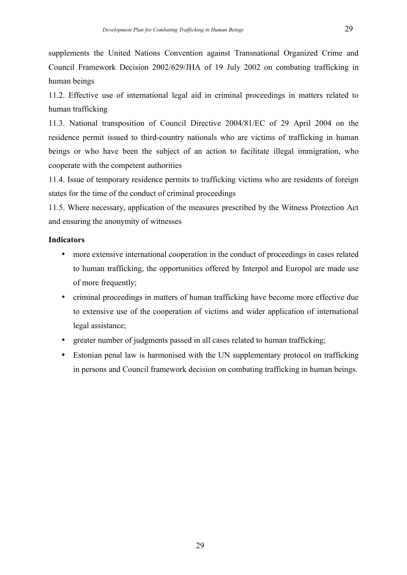supplements the United Nations Convention against Transnational Organized Crime and Council Framework Decision 2002/629/JHA of 19 July 2002 on combating trafficking in human beings

11.2. Effective use of international legal aid in criminal proceedings in matters related to human trafficking

11.3. National transposition of Council Directive 2004/81/EC of 29 April 2004 on the residence permit issued to third-country nationals who are victims of trafficking in human beings or who have been the subject of an action to facilitate illegal immigration, who cooperate with the competent authorities

11.4. Issue of temporary residence permits to trafficking victims who are residents of foreign states for the time of the conduct of criminal proceedings

11.5. Where necessary, application of the measures prescribed by the Witness Protection Act and ensuring the anonymity of witnesses

### **Indicators**

- more extensive international cooperation in the conduct of proceedings in cases related to human trafficking, the opportunities offered by Interpol and Europol are made use of more frequently;
- criminal proceedings in matters of human trafficking have become more effective due to extensive use of the cooperation of victims and wider application of international legal assistance;
- greater number of judgments passed in all cases related to human trafficking;
- Estonian penal law is harmonised with the UN supplementary protocol on trafficking in persons and Council framework decision on combating trafficking in human beings.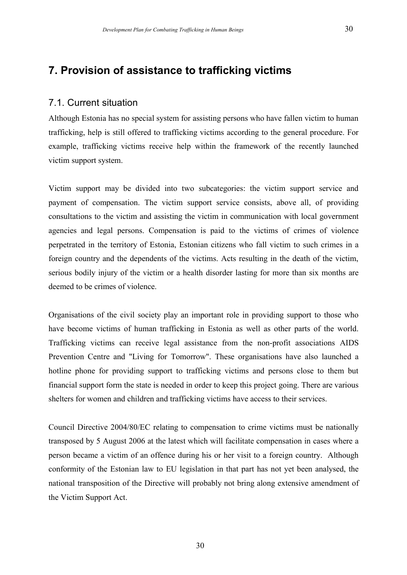# **7. Provision of assistance to trafficking victims**

### 7.1. Current situation

Although Estonia has no special system for assisting persons who have fallen victim to human trafficking, help is still offered to trafficking victims according to the general procedure. For example, trafficking victims receive help within the framework of the recently launched victim support system.

Victim support may be divided into two subcategories: the victim support service and payment of compensation. The victim support service consists, above all, of providing consultations to the victim and assisting the victim in communication with local government agencies and legal persons. Compensation is paid to the victims of crimes of violence perpetrated in the territory of Estonia, Estonian citizens who fall victim to such crimes in a foreign country and the dependents of the victims. Acts resulting in the death of the victim, serious bodily injury of the victim or a health disorder lasting for more than six months are deemed to be crimes of violence.

Organisations of the civil society play an important role in providing support to those who have become victims of human trafficking in Estonia as well as other parts of the world. Trafficking victims can receive legal assistance from the non-profit associations AIDS Prevention Centre and "Living for Tomorrow". These organisations have also launched a hotline phone for providing support to trafficking victims and persons close to them but financial support form the state is needed in order to keep this project going. There are various shelters for women and children and trafficking victims have access to their services.

Council Directive 2004/80/EC relating to compensation to crime victims must be nationally transposed by 5 August 2006 at the latest which will facilitate compensation in cases where a person became a victim of an offence during his or her visit to a foreign country. Although conformity of the Estonian law to EU legislation in that part has not yet been analysed, the national transposition of the Directive will probably not bring along extensive amendment of the Victim Support Act.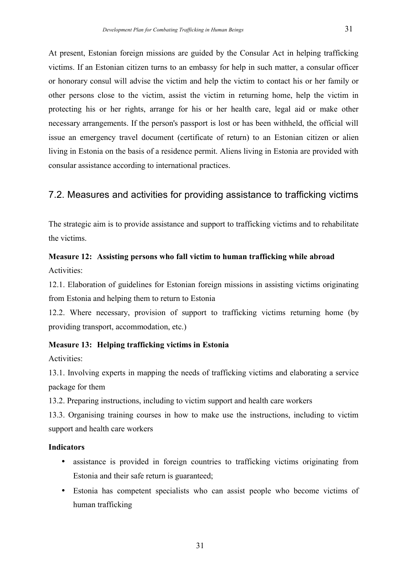At present, Estonian foreign missions are guided by the Consular Act in helping trafficking victims. If an Estonian citizen turns to an embassy for help in such matter, a consular officer or honorary consul will advise the victim and help the victim to contact his or her family or other persons close to the victim, assist the victim in returning home, help the victim in protecting his or her rights, arrange for his or her health care, legal aid or make other necessary arrangements. If the person's passport is lost or has been withheld, the official will issue an emergency travel document (certificate of return) to an Estonian citizen or alien living in Estonia on the basis of a residence permit. Aliens living in Estonia are provided with consular assistance according to international practices.

## 7.2. Measures and activities for providing assistance to trafficking victims

The strategic aim is to provide assistance and support to trafficking victims and to rehabilitate the victims.

## **Measure 12: Assisting persons who fall victim to human trafficking while abroad** Activities:

12.1. Elaboration of guidelines for Estonian foreign missions in assisting victims originating from Estonia and helping them to return to Estonia

12.2. Where necessary, provision of support to trafficking victims returning home (by providing transport, accommodation, etc.)

### **Measure 13: Helping trafficking victims in Estonia**

Activities:

13.1. Involving experts in mapping the needs of trafficking victims and elaborating a service package for them

13.2. Preparing instructions, including to victim support and health care workers

13.3. Organising training courses in how to make use the instructions, including to victim support and health care workers

### **Indicators**

- assistance is provided in foreign countries to trafficking victims originating from Estonia and their safe return is guaranteed;
- Estonia has competent specialists who can assist people who become victims of human trafficking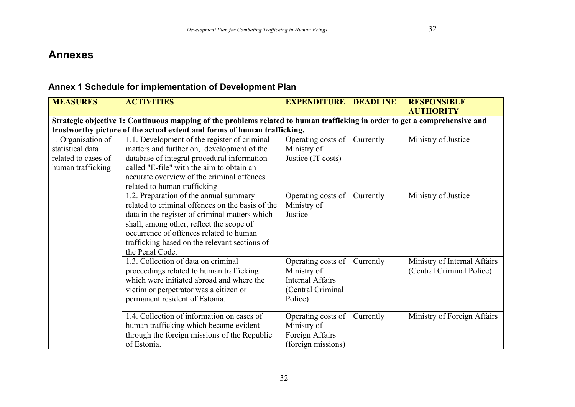# **Annexes**

# **Annex 1 Schedule for implementation of Development Plan**

| <b>MEASURES</b>                                                                    | <b>ACTIVITIES</b>                                                                                                                                                                                                                                                                                       | <b>EXPENDITURE</b>                                                                           | <b>DEADLINE</b> | <b>RESPONSIBLE</b><br><b>AUTHORITY</b>                    |  |  |  |  |  |
|------------------------------------------------------------------------------------|---------------------------------------------------------------------------------------------------------------------------------------------------------------------------------------------------------------------------------------------------------------------------------------------------------|----------------------------------------------------------------------------------------------|-----------------|-----------------------------------------------------------|--|--|--|--|--|
|                                                                                    | Strategic objective 1: Continuous mapping of the problems related to human trafficking in order to get a comprehensive and                                                                                                                                                                              |                                                                                              |                 |                                                           |  |  |  |  |  |
|                                                                                    | trustworthy picture of the actual extent and forms of human trafficking.                                                                                                                                                                                                                                |                                                                                              |                 |                                                           |  |  |  |  |  |
| 1. Organisation of<br>statistical data<br>related to cases of<br>human trafficking | 1.1. Development of the register of criminal<br>matters and further on, development of the<br>database of integral procedural information<br>called "E-file" with the aim to obtain an<br>accurate overview of the criminal offences<br>related to human trafficking                                    | Operating costs of<br>Ministry of<br>Justice (IT costs)                                      | Currently       | Ministry of Justice                                       |  |  |  |  |  |
|                                                                                    | 1.2. Preparation of the annual summary<br>related to criminal offences on the basis of the<br>data in the register of criminal matters which<br>shall, among other, reflect the scope of<br>occurrence of offences related to human<br>trafficking based on the relevant sections of<br>the Penal Code. | Operating costs of<br>Ministry of<br>Justice                                                 | Currently       | Ministry of Justice                                       |  |  |  |  |  |
|                                                                                    | 1.3. Collection of data on criminal<br>proceedings related to human trafficking<br>which were initiated abroad and where the<br>victim or perpetrator was a citizen or<br>permanent resident of Estonia.                                                                                                | Operating costs of<br>Ministry of<br><b>Internal Affairs</b><br>(Central Criminal<br>Police) | Currently       | Ministry of Internal Affairs<br>(Central Criminal Police) |  |  |  |  |  |
|                                                                                    | 1.4. Collection of information on cases of<br>human trafficking which became evident<br>through the foreign missions of the Republic<br>of Estonia.                                                                                                                                                     | Operating costs of<br>Ministry of<br>Foreign Affairs<br>(foreign missions)                   | Currently       | Ministry of Foreign Affairs                               |  |  |  |  |  |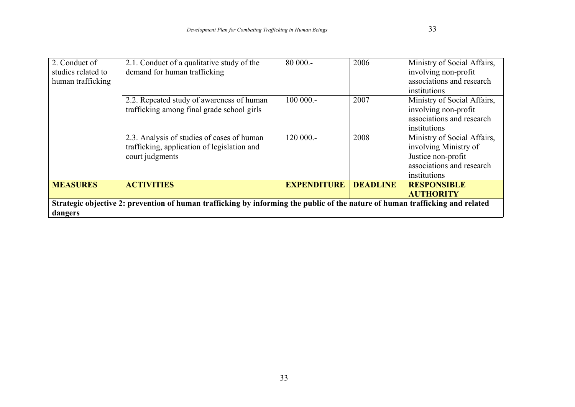| 2. Conduct of<br>studies related to<br>human trafficking                                                                                 | 2.1. Conduct of a qualitative study of the<br>demand for human trafficking                                   | $80000 -$          | 2006            | Ministry of Social Affairs,<br>involving non-profit<br>associations and research<br>institutions                        |  |  |
|------------------------------------------------------------------------------------------------------------------------------------------|--------------------------------------------------------------------------------------------------------------|--------------------|-----------------|-------------------------------------------------------------------------------------------------------------------------|--|--|
|                                                                                                                                          | 2.2. Repeated study of awareness of human<br>trafficking among final grade school girls                      | $100000 -$         | 2007            | Ministry of Social Affairs,<br>involving non-profit<br>associations and research<br>institutions                        |  |  |
|                                                                                                                                          | 2.3. Analysis of studies of cases of human<br>trafficking, application of legislation and<br>court judgments | $120000 -$         | 2008            | Ministry of Social Affairs,<br>involving Ministry of<br>Justice non-profit<br>associations and research<br>institutions |  |  |
| <b>MEASURES</b>                                                                                                                          | <b>ACTIVITIES</b>                                                                                            | <b>EXPENDITURE</b> | <b>DEADLINE</b> | <b>RESPONSIBLE</b><br><b>AUTHORITY</b>                                                                                  |  |  |
| Strategic objective 2: prevention of human trafficking by informing the public of the nature of human trafficking and related<br>dangers |                                                                                                              |                    |                 |                                                                                                                         |  |  |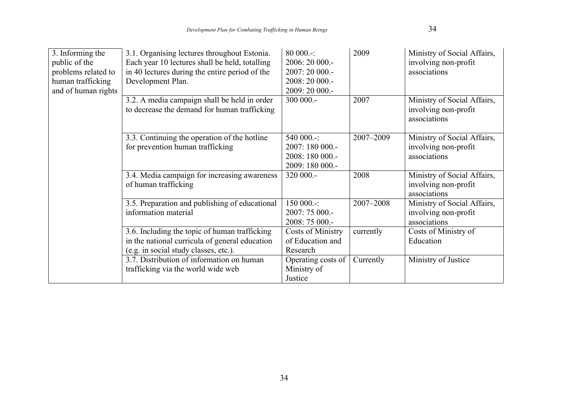| 3. Informing the<br>public of the<br>problems related to<br>human trafficking<br>and of human rights | 3.1. Organising lectures throughout Estonia.<br>Each year 10 lectures shall be held, totalling<br>in 40 lectures during the entire period of the<br>Development Plan. | $80000 -$<br>2006: 20 000 .-<br>2007:20000.<br>2008: 20 000 .-<br>2009: 20 000 .- | 2009      | Ministry of Social Affairs,<br>involving non-profit<br>associations |
|------------------------------------------------------------------------------------------------------|-----------------------------------------------------------------------------------------------------------------------------------------------------------------------|-----------------------------------------------------------------------------------|-----------|---------------------------------------------------------------------|
|                                                                                                      | 3.2. A media campaign shall be held in order<br>to decrease the demand for human trafficking                                                                          | 300 000 .-                                                                        | 2007      | Ministry of Social Affairs,<br>involving non-profit<br>associations |
|                                                                                                      | 3.3. Continuing the operation of the hotline<br>for prevention human trafficking                                                                                      | 540 000.-:<br>2007: 180 000 .-<br>2008: 180 000 .-<br>2009: 180 000 .-            | 2007-2009 | Ministry of Social Affairs,<br>involving non-profit<br>associations |
|                                                                                                      | 3.4. Media campaign for increasing awareness<br>of human trafficking                                                                                                  | 320 000.-                                                                         | 2008      | Ministry of Social Affairs,<br>involving non-profit<br>associations |
|                                                                                                      | 3.5. Preparation and publishing of educational<br>information material                                                                                                | 150 000.-:<br>2007: 75 000 .-<br>2008: 75 000 .-                                  | 2007-2008 | Ministry of Social Affairs,<br>involving non-profit<br>associations |
|                                                                                                      | 3.6. Including the topic of human trafficking<br>in the national curricula of general education<br>(e.g. in social study classes, etc.).                              | Costs of Ministry<br>of Education and<br>Research                                 | currently | Costs of Ministry of<br>Education                                   |
|                                                                                                      | 3.7. Distribution of information on human<br>trafficking via the world wide web                                                                                       | Operating costs of<br>Ministry of<br>Justice                                      | Currently | Ministry of Justice                                                 |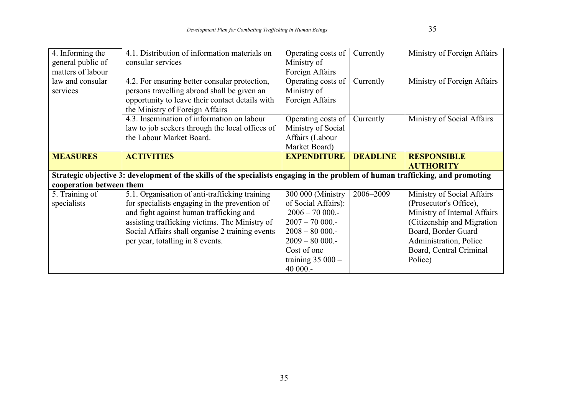| 4. Informing the         | 4.1. Distribution of information materials on                                                                                   | Operating costs of  | Currently       | Ministry of Foreign Affairs  |
|--------------------------|---------------------------------------------------------------------------------------------------------------------------------|---------------------|-----------------|------------------------------|
| general public of        | consular services                                                                                                               | Ministry of         |                 |                              |
| matters of labour        |                                                                                                                                 | Foreign Affairs     |                 |                              |
| law and consular         | 4.2. For ensuring better consular protection,                                                                                   | Operating costs of  | Currently       | Ministry of Foreign Affairs  |
| services                 | persons travelling abroad shall be given an                                                                                     | Ministry of         |                 |                              |
|                          | opportunity to leave their contact details with                                                                                 | Foreign Affairs     |                 |                              |
|                          | the Ministry of Foreign Affairs                                                                                                 |                     |                 |                              |
|                          | 4.3. Insemination of information on labour                                                                                      | Operating costs of  | Currently       | Ministry of Social Affairs   |
|                          | law to job seekers through the local offices of                                                                                 | Ministry of Social  |                 |                              |
|                          | the Labour Market Board.                                                                                                        | Affairs (Labour     |                 |                              |
|                          |                                                                                                                                 | Market Board)       |                 |                              |
| <b>MEASURES</b>          | <b>ACTIVITIES</b>                                                                                                               | <b>EXPENDITURE</b>  | <b>DEADLINE</b> | <b>RESPONSIBLE</b>           |
|                          |                                                                                                                                 |                     |                 |                              |
|                          |                                                                                                                                 |                     |                 | <b>AUTHORITY</b>             |
|                          | Strategic objective 3: development of the skills of the specialists engaging in the problem of human trafficking, and promoting |                     |                 |                              |
| cooperation between them |                                                                                                                                 |                     |                 |                              |
| 5. Training of           | 5.1. Organisation of anti-trafficking training                                                                                  | 300 000 (Ministry   | 2006-2009       | Ministry of Social Affairs   |
| specialists              | for specialists engaging in the prevention of                                                                                   | of Social Affairs): |                 | (Prosecutor's Office),       |
|                          | and fight against human trafficking and                                                                                         | $2006 - 70000$      |                 | Ministry of Internal Affairs |
|                          | assisting trafficking victims. The Ministry of                                                                                  | $2007 - 70000$      |                 | (Citizenship and Migration)  |
|                          | Social Affairs shall organise 2 training events                                                                                 | $2008 - 80000 -$    |                 | Board, Border Guard          |
|                          | per year, totalling in 8 events.                                                                                                | $2009 - 80000$      |                 | Administration, Police       |
|                          |                                                                                                                                 | Cost of one         |                 | Board, Central Criminal      |
|                          |                                                                                                                                 | training $35000 -$  |                 | Police)                      |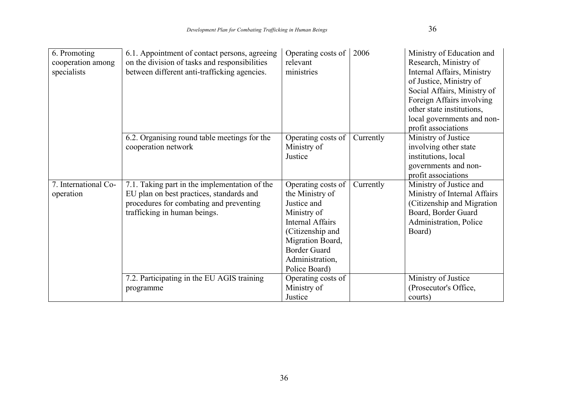| 6. Promoting<br>cooperation among<br>specialists | 6.1. Appointment of contact persons, agreeing<br>on the division of tasks and responsibilities<br>between different anti-trafficking agencies.                       | Operating costs of<br>relevant<br>ministries                                                                                                                                                      | 2006      | Ministry of Education and<br>Research, Ministry of<br>Internal Affairs, Ministry<br>of Justice, Ministry of<br>Social Affairs, Ministry of<br>Foreign Affairs involving<br>other state institutions,<br>local governments and non-<br>profit associations |
|--------------------------------------------------|----------------------------------------------------------------------------------------------------------------------------------------------------------------------|---------------------------------------------------------------------------------------------------------------------------------------------------------------------------------------------------|-----------|-----------------------------------------------------------------------------------------------------------------------------------------------------------------------------------------------------------------------------------------------------------|
|                                                  | 6.2. Organising round table meetings for the<br>cooperation network                                                                                                  | Operating costs of<br>Ministry of<br>Justice                                                                                                                                                      | Currently | Ministry of Justice<br>involving other state<br>institutions, local<br>governments and non-<br>profit associations                                                                                                                                        |
| 7. International Co-<br>operation                | 7.1. Taking part in the implementation of the<br>EU plan on best practices, standards and<br>procedures for combating and preventing<br>trafficking in human beings. | Operating costs of<br>the Ministry of<br>Justice and<br>Ministry of<br><b>Internal Affairs</b><br>(Citizenship and<br>Migration Board,<br><b>Border Guard</b><br>Administration,<br>Police Board) | Currently | Ministry of Justice and<br>Ministry of Internal Affairs<br>(Citizenship and Migration)<br>Board, Border Guard<br>Administration, Police<br>Board)                                                                                                         |
|                                                  | 7.2. Participating in the EU AGIS training<br>programme                                                                                                              | Operating costs of<br>Ministry of                                                                                                                                                                 |           | Ministry of Justice<br>(Prosecutor's Office,                                                                                                                                                                                                              |
|                                                  |                                                                                                                                                                      | Justice                                                                                                                                                                                           |           | courts)                                                                                                                                                                                                                                                   |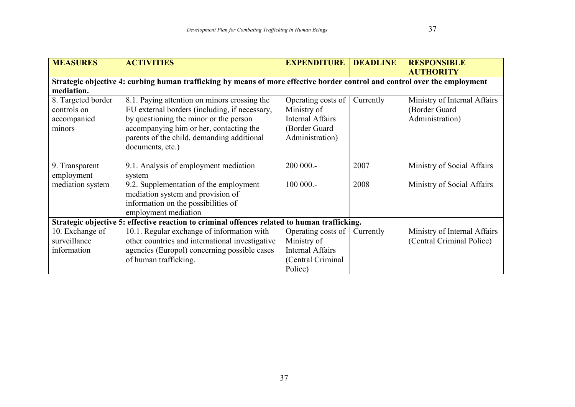| <b>MEASURES</b>    | <b>ACTIVITIES</b>                                                                                                          | <b>EXPENDITURE</b>      | <b>DEADLINE</b> | <b>RESPONSIBLE</b>           |
|--------------------|----------------------------------------------------------------------------------------------------------------------------|-------------------------|-----------------|------------------------------|
|                    |                                                                                                                            |                         |                 | <b>AUTHORITY</b>             |
|                    | Strategic objective 4: curbing human trafficking by means of more effective border control and control over the employment |                         |                 |                              |
| mediation.         |                                                                                                                            |                         |                 |                              |
| 8. Targeted border | 8.1. Paying attention on minors crossing the                                                                               | Operating costs of      | Currently       | Ministry of Internal Affairs |
| controls on        | EU external borders (including, if necessary,                                                                              | Ministry of             |                 | (Border Guard                |
| accompanied        | by questioning the minor or the person                                                                                     | <b>Internal Affairs</b> |                 | Administration)              |
| minors             | accompanying him or her, contacting the                                                                                    | (Border Guard           |                 |                              |
|                    | parents of the child, demanding additional                                                                                 | Administration)         |                 |                              |
|                    | documents, etc.)                                                                                                           |                         |                 |                              |
|                    |                                                                                                                            |                         |                 |                              |
| 9. Transparent     | 9.1. Analysis of employment mediation                                                                                      | 200 000 .-              | 2007            | Ministry of Social Affairs   |
| employment         | system                                                                                                                     |                         |                 |                              |
| mediation system   | 9.2. Supplementation of the employment                                                                                     | 100 000 .-              | 2008            | Ministry of Social Affairs   |
|                    | mediation system and provision of                                                                                          |                         |                 |                              |
|                    | information on the possibilities of                                                                                        |                         |                 |                              |
|                    | employment mediation                                                                                                       |                         |                 |                              |
|                    | Strategic objective 5: effective reaction to criminal offences related to human trafficking.                               |                         |                 |                              |
| 10. Exchange of    | 10.1. Regular exchange of information with                                                                                 | Operating costs of      | Currently       | Ministry of Internal Affairs |
| surveillance       | other countries and international investigative                                                                            | Ministry of             |                 | (Central Criminal Police)    |
| information        | agencies (Europol) concerning possible cases                                                                               | <b>Internal Affairs</b> |                 |                              |
|                    | of human trafficking.                                                                                                      | (Central Criminal       |                 |                              |
|                    |                                                                                                                            | Police)                 |                 |                              |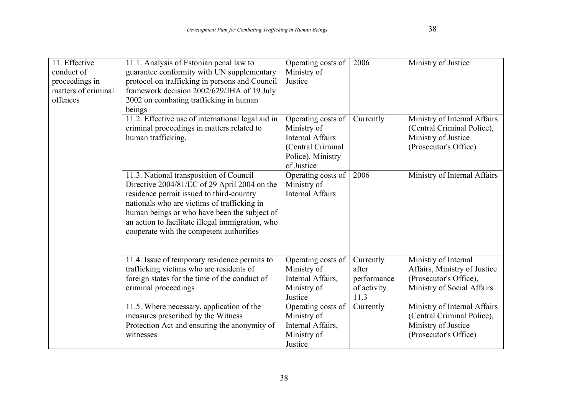| 11. Effective<br>conduct of<br>proceedings in<br>matters of criminal<br>offences | 11.1. Analysis of Estonian penal law to<br>guarantee conformity with UN supplementary<br>protocol on trafficking in persons and Council<br>framework decision 2002/629/JHA of 19 July<br>2002 on combating trafficking in human<br>beings                                                                                          | Operating costs of<br>Ministry of<br>Justice                                                                         | 2006                                                     | Ministry of Justice                                                                                          |
|----------------------------------------------------------------------------------|------------------------------------------------------------------------------------------------------------------------------------------------------------------------------------------------------------------------------------------------------------------------------------------------------------------------------------|----------------------------------------------------------------------------------------------------------------------|----------------------------------------------------------|--------------------------------------------------------------------------------------------------------------|
|                                                                                  | 11.2. Effective use of international legal aid in<br>criminal proceedings in matters related to<br>human trafficking.                                                                                                                                                                                                              | Operating costs of<br>Ministry of<br><b>Internal Affairs</b><br>(Central Criminal<br>Police), Ministry<br>of Justice | Currently                                                | Ministry of Internal Affairs<br>(Central Criminal Police),<br>Ministry of Justice<br>(Prosecutor's Office)   |
|                                                                                  | 11.3. National transposition of Council<br>Directive 2004/81/EC of 29 April 2004 on the<br>residence permit issued to third-country<br>nationals who are victims of trafficking in<br>human beings or who have been the subject of<br>an action to facilitate illegal immigration, who<br>cooperate with the competent authorities | Operating costs of<br>Ministry of<br><b>Internal Affairs</b>                                                         | 2006                                                     | Ministry of Internal Affairs                                                                                 |
|                                                                                  | 11.4. Issue of temporary residence permits to<br>trafficking victims who are residents of<br>foreign states for the time of the conduct of<br>criminal proceedings                                                                                                                                                                 | Operating costs of<br>Ministry of<br>Internal Affairs,<br>Ministry of<br>Justice                                     | Currently<br>after<br>performance<br>of activity<br>11.3 | Ministry of Internal<br>Affairs, Ministry of Justice<br>(Prosecutor's Office),<br>Ministry of Social Affairs |
|                                                                                  | 11.5. Where necessary, application of the<br>measures prescribed by the Witness<br>Protection Act and ensuring the anonymity of<br>witnesses                                                                                                                                                                                       | Operating costs of<br>Ministry of<br>Internal Affairs,<br>Ministry of<br>Justice                                     | Currently                                                | Ministry of Internal Affairs<br>(Central Criminal Police),<br>Ministry of Justice<br>(Prosecutor's Office)   |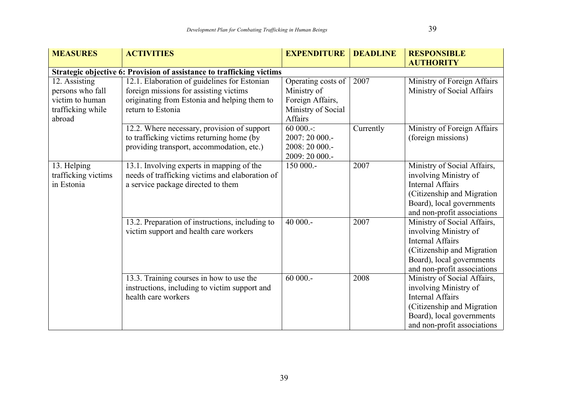| <b>MEASURES</b>     | <b>ACTIVITIES</b>                                                     | <b>EXPENDITURE</b> | <b>DEADLINE</b> | <b>RESPONSIBLE</b>          |
|---------------------|-----------------------------------------------------------------------|--------------------|-----------------|-----------------------------|
|                     |                                                                       |                    |                 | <b>AUTHORITY</b>            |
|                     | Strategic objective 6: Provision of assistance to trafficking victims |                    |                 |                             |
| 12. Assisting       | 12.1. Elaboration of guidelines for Estonian                          | Operating costs of | 2007            | Ministry of Foreign Affairs |
| persons who fall    | foreign missions for assisting victims                                | Ministry of        |                 | Ministry of Social Affairs  |
| victim to human     | originating from Estonia and helping them to                          | Foreign Affairs,   |                 |                             |
| trafficking while   | return to Estonia                                                     | Ministry of Social |                 |                             |
| abroad              |                                                                       | Affairs            |                 |                             |
|                     | 12.2. Where necessary, provision of support                           | $60000 -$          | Currently       | Ministry of Foreign Affairs |
|                     | to trafficking victims returning home (by                             | 2007: 20 000 .-    |                 | (foreign missions)          |
|                     | providing transport, accommodation, etc.)                             | 2008: 20 000 .-    |                 |                             |
|                     |                                                                       | 2009: 20 000 .-    |                 |                             |
| 13. Helping         | 13.1. Involving experts in mapping of the                             | 150 000 .-         | 2007            | Ministry of Social Affairs, |
| trafficking victims | needs of trafficking victims and elaboration of                       |                    |                 | involving Ministry of       |
| in Estonia          | a service package directed to them                                    |                    |                 | <b>Internal Affairs</b>     |
|                     |                                                                       |                    |                 | (Citizenship and Migration  |
|                     |                                                                       |                    |                 | Board), local governments   |
|                     |                                                                       |                    |                 | and non-profit associations |
|                     | 13.2. Preparation of instructions, including to                       | $40000 -$          | 2007            | Ministry of Social Affairs, |
|                     | victim support and health care workers                                |                    |                 | involving Ministry of       |
|                     |                                                                       |                    |                 | <b>Internal Affairs</b>     |
|                     |                                                                       |                    |                 | (Citizenship and Migration  |
|                     |                                                                       |                    |                 | Board), local governments   |
|                     |                                                                       |                    |                 | and non-profit associations |
|                     | 13.3. Training courses in how to use the                              | $60000 -$          | 2008            | Ministry of Social Affairs, |
|                     | instructions, including to victim support and                         |                    |                 | involving Ministry of       |
|                     | health care workers                                                   |                    |                 | <b>Internal Affairs</b>     |
|                     |                                                                       |                    |                 | (Citizenship and Migration  |
|                     |                                                                       |                    |                 | Board), local governments   |
|                     |                                                                       |                    |                 | and non-profit associations |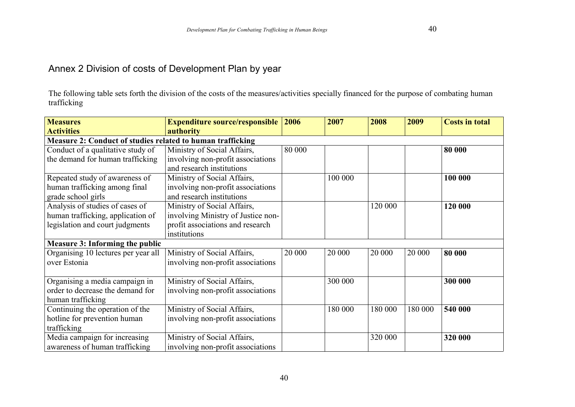The following table sets forth the division of the costs of the measures/activities specially financed for the purpose of combating human trafficking

| <b>Measures</b>                                            | <b>Expenditure source/responsible</b> | 2006   | 2007    | 2008    | 2009    | <b>Costs in total</b> |  |
|------------------------------------------------------------|---------------------------------------|--------|---------|---------|---------|-----------------------|--|
| <b>Activities</b>                                          | authority                             |        |         |         |         |                       |  |
| Measure 2: Conduct of studies related to human trafficking |                                       |        |         |         |         |                       |  |
| Conduct of a qualitative study of                          | Ministry of Social Affairs,           | 80 000 |         |         |         | 80 000                |  |
| the demand for human trafficking                           | involving non-profit associations     |        |         |         |         |                       |  |
|                                                            | and research institutions             |        |         |         |         |                       |  |
| Repeated study of awareness of                             | Ministry of Social Affairs,           |        | 100 000 |         |         | 100 000               |  |
| human trafficking among final                              | involving non-profit associations     |        |         |         |         |                       |  |
| grade school girls                                         | and research institutions             |        |         |         |         |                       |  |
| Analysis of studies of cases of                            | Ministry of Social Affairs,           |        |         | 120 000 |         | 120 000               |  |
| human trafficking, application of                          | involving Ministry of Justice non-    |        |         |         |         |                       |  |
| legislation and court judgments                            | profit associations and research      |        |         |         |         |                       |  |
|                                                            | institutions                          |        |         |         |         |                       |  |
| <b>Measure 3: Informing the public</b>                     |                                       |        |         |         |         |                       |  |
| Organising 10 lectures per year all                        | Ministry of Social Affairs,           | 20 000 | 20 000  | 20 000  | 20 000  | 80 000                |  |
| over Estonia                                               | involving non-profit associations     |        |         |         |         |                       |  |
|                                                            |                                       |        |         |         |         |                       |  |
| Organising a media campaign in                             | Ministry of Social Affairs,           |        | 300 000 |         |         | 300 000               |  |
| order to decrease the demand for                           | involving non-profit associations     |        |         |         |         |                       |  |
| human trafficking                                          |                                       |        |         |         |         |                       |  |
| Continuing the operation of the                            | Ministry of Social Affairs,           |        | 180 000 | 180 000 | 180 000 | 540 000               |  |
| hotline for prevention human                               | involving non-profit associations     |        |         |         |         |                       |  |
| trafficking                                                |                                       |        |         |         |         |                       |  |
| Media campaign for increasing                              | Ministry of Social Affairs,           |        |         | 320 000 |         | 320 000               |  |
| awareness of human trafficking                             | involving non-profit associations     |        |         |         |         |                       |  |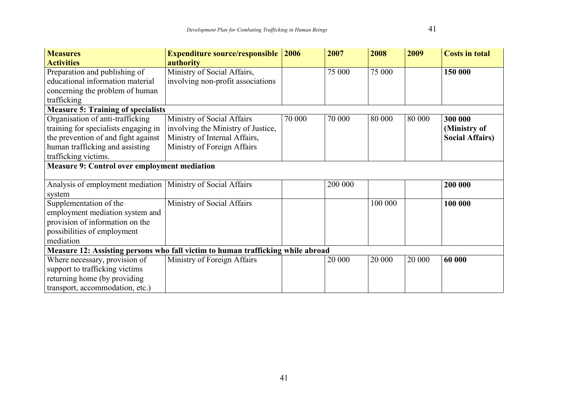| <b>Measures</b>                                               | <b>Expenditure source/responsible</b>                                           | 2006   | 2007    | 2008    | 2009   | <b>Costs in total</b>  |
|---------------------------------------------------------------|---------------------------------------------------------------------------------|--------|---------|---------|--------|------------------------|
| <b>Activities</b>                                             | authority                                                                       |        |         |         |        |                        |
| Preparation and publishing of                                 | Ministry of Social Affairs,                                                     |        | 75 000  | 75 000  |        | 150 000                |
| educational information material                              | involving non-profit associations                                               |        |         |         |        |                        |
| concerning the problem of human                               |                                                                                 |        |         |         |        |                        |
| trafficking                                                   |                                                                                 |        |         |         |        |                        |
| <b>Measure 5: Training of specialists</b>                     |                                                                                 |        |         |         |        |                        |
| Organisation of anti-trafficking                              | Ministry of Social Affairs                                                      | 70 000 | 70 000  | 80 000  | 80 000 | 300 000                |
| training for specialists engaging in                          | involving the Ministry of Justice,                                              |        |         |         |        | (Ministry of           |
| the prevention of and fight against                           | Ministry of Internal Affairs,                                                   |        |         |         |        | <b>Social Affairs)</b> |
| human trafficking and assisting                               | Ministry of Foreign Affairs                                                     |        |         |         |        |                        |
| trafficking victims.                                          |                                                                                 |        |         |         |        |                        |
| <b>Measure 9: Control over employment mediation</b>           |                                                                                 |        |         |         |        |                        |
|                                                               |                                                                                 |        |         |         |        |                        |
| Analysis of employment mediation   Ministry of Social Affairs |                                                                                 |        | 200 000 |         |        | 200 000                |
| system                                                        |                                                                                 |        |         |         |        |                        |
| Supplementation of the                                        | Ministry of Social Affairs                                                      |        |         | 100 000 |        | 100 000                |
| employment mediation system and                               |                                                                                 |        |         |         |        |                        |
| provision of information on the                               |                                                                                 |        |         |         |        |                        |
| possibilities of employment                                   |                                                                                 |        |         |         |        |                        |
| mediation                                                     |                                                                                 |        |         |         |        |                        |
|                                                               | Measure 12: Assisting persons who fall victim to human trafficking while abroad |        |         |         |        |                        |
| Where necessary, provision of                                 | Ministry of Foreign Affairs                                                     |        | 20 000  | 20 000  | 20 000 | 60 000                 |
| support to trafficking victims                                |                                                                                 |        |         |         |        |                        |
| returning home (by providing                                  |                                                                                 |        |         |         |        |                        |
| transport, accommodation, etc.)                               |                                                                                 |        |         |         |        |                        |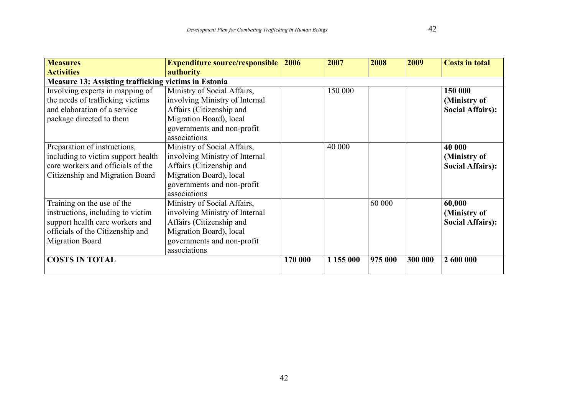| <b>Measures</b>                                             | <b>Expenditure source/responsible</b> | 2006    | 2007      | 2008    | 2009    | <b>Costs in total</b>   |
|-------------------------------------------------------------|---------------------------------------|---------|-----------|---------|---------|-------------------------|
| <b>Activities</b>                                           | authority                             |         |           |         |         |                         |
| <b>Measure 13: Assisting trafficking victims in Estonia</b> |                                       |         |           |         |         |                         |
| Involving experts in mapping of                             | Ministry of Social Affairs,           |         | 150 000   |         |         | 150 000                 |
| the needs of trafficking victims                            | involving Ministry of Internal        |         |           |         |         | (Ministry of            |
| and elaboration of a service                                | Affairs (Citizenship and              |         |           |         |         | <b>Social Affairs:</b>  |
| package directed to them                                    | Migration Board), local               |         |           |         |         |                         |
|                                                             | governments and non-profit            |         |           |         |         |                         |
|                                                             | associations                          |         |           |         |         |                         |
| Preparation of instructions,                                | Ministry of Social Affairs,           |         | 40 000    |         |         | 40 000                  |
| including to victim support health                          | involving Ministry of Internal        |         |           |         |         | (Ministry of            |
| care workers and officials of the                           | Affairs (Citizenship and              |         |           |         |         | <b>Social Affairs):</b> |
| Citizenship and Migration Board                             | Migration Board), local               |         |           |         |         |                         |
|                                                             | governments and non-profit            |         |           |         |         |                         |
|                                                             | associations                          |         |           |         |         |                         |
| Training on the use of the                                  | Ministry of Social Affairs,           |         |           | 60 000  |         | 60,000                  |
| instructions, including to victim                           | involving Ministry of Internal        |         |           |         |         | (Ministry of            |
| support health care workers and                             | Affairs (Citizenship and              |         |           |         |         | <b>Social Affairs:</b>  |
| officials of the Citizenship and                            | Migration Board), local               |         |           |         |         |                         |
| <b>Migration Board</b>                                      | governments and non-profit            |         |           |         |         |                         |
|                                                             | associations                          |         |           |         |         |                         |
| <b>COSTS IN TOTAL</b>                                       |                                       | 170 000 | 1 155 000 | 975 000 | 300 000 | 2 600 000               |
|                                                             |                                       |         |           |         |         |                         |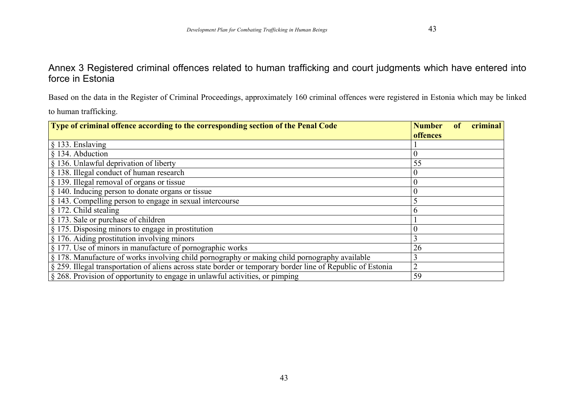### Annex 3 Registered criminal offences related to human trafficking and court judgments which have entered into force in Estonia

Based on the data in the Register of Criminal Proceedings, approximately 160 criminal offences were registered in Estonia which may be linked

to human trafficking.

| Type of criminal offence according to the corresponding section of the Penal Code                           | criminal<br><b>Number</b> |
|-------------------------------------------------------------------------------------------------------------|---------------------------|
|                                                                                                             | offences                  |
| $§$ 133. Enslaving                                                                                          |                           |
| § 134. Abduction                                                                                            | $\boldsymbol{0}$          |
| § 136. Unlawful deprivation of liberty                                                                      | 55                        |
| § 138. Illegal conduct of human research                                                                    | $\theta$                  |
| § 139. Illegal removal of organs or tissue                                                                  | $\overline{0}$            |
| § 140. Inducing person to donate organs or tissue                                                           | $\overline{0}$            |
| § 143. Compelling person to engage in sexual intercourse                                                    |                           |
| § 172. Child stealing                                                                                       | $\mathfrak b$             |
| § 173. Sale or purchase of children                                                                         |                           |
| § 175. Disposing minors to engage in prostitution                                                           | $\theta$                  |
| § 176. Aiding prostitution involving minors                                                                 | 3                         |
| § 177. Use of minors in manufacture of pornographic works                                                   | 26                        |
| § 178. Manufacture of works involving child pornography or making child pornography available               | 3                         |
| § 259. Illegal transportation of aliens across state border or temporary border line of Republic of Estonia | $\overline{2}$            |
| § 268. Provision of opportunity to engage in unlawful activities, or pimping                                | 59                        |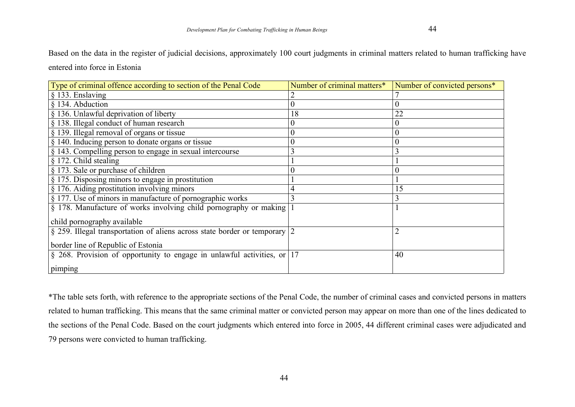| Type of criminal offence according to section of the Penal Code                | Number of criminal matters* | Number of convicted persons* |
|--------------------------------------------------------------------------------|-----------------------------|------------------------------|
| § 133. Enslaving                                                               |                             |                              |
| § 134. Abduction                                                               |                             |                              |
| § 136. Unlawful deprivation of liberty                                         | 18                          | 22                           |
| § 138. Illegal conduct of human research                                       | 0                           |                              |
| § 139. Illegal removal of organs or tissue                                     | $\boldsymbol{0}$            | $\overline{0}$               |
| § 140. Inducing person to donate organs or tissue                              | $\boldsymbol{0}$            |                              |
| § 143. Compelling person to engage in sexual intercourse                       | 3                           |                              |
| § 172. Child stealing                                                          |                             |                              |
| § 173. Sale or purchase of children                                            |                             | $\overline{0}$               |
| § 175. Disposing minors to engage in prostitution                              |                             |                              |
| § 176. Aiding prostitution involving minors                                    | 4                           | 15                           |
| § 177. Use of minors in manufacture of pornographic works                      | 3                           |                              |
| § 178. Manufacture of works involving child pornography or making              |                             |                              |
| child pornography available                                                    |                             |                              |
| § 259. Illegal transportation of aliens across state border or temporary $ 2 $ |                             |                              |
| border line of Republic of Estonia                                             |                             |                              |
| § 268. Provision of opportunity to engage in unlawful activities, or 17        |                             | 40                           |
| pimping                                                                        |                             |                              |

\*The table sets forth, with reference to the appropriate sections of the Penal Code, the number of criminal cases and convicted persons in matters related to human trafficking. This means that the same criminal matter or convicted person may appear on more than one of the lines dedicated to the sections of the Penal Code. Based on the court judgments which entered into force in 2005, 44 different criminal cases were adjudicated and 79 persons were convicted to human trafficking.